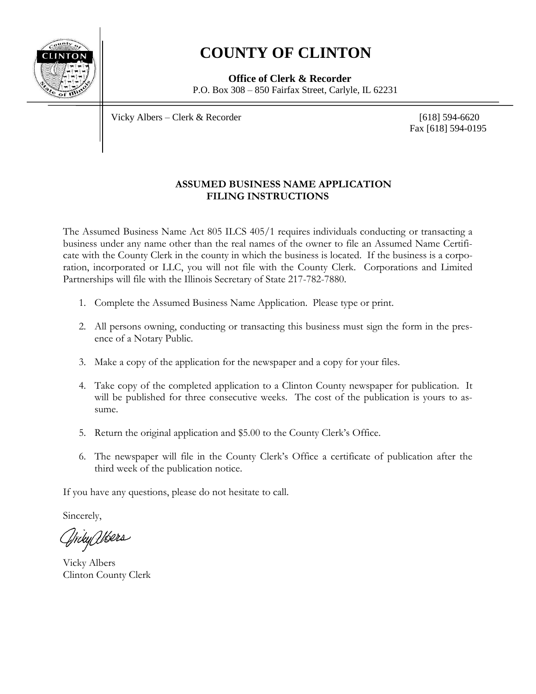

## **COUNTY OF CLINTON**

 **Office of Clerk & Recorder** P.O. Box  $308 - 850$  Fairfax Street, Carlyle, IL 62231

Vicky Albers – Clerk & Recorder [618] 594-6620

Fax [618] 594-0195

## **ASSUMED BUSINESS NAME APPLICATION FILING INSTRUCTIONS**

The Assumed Business Name Act 805 ILCS 405/1 requires individuals conducting or transacting a business under any name other than the real names of the owner to file an Assumed Name Certificate with the County Clerk in the county in which the business is located. If the business is a corporation, incorporated or LLC, you will not file with the County Clerk. Corporations and Limited Partnerships will file with the Illinois Secretary of State 217-782-7880.

- 1. Complete the Assumed Business Name Application. Please type or print.
- 2. All persons owning, conducting or transacting this business must sign the form in the presence of a Notary Public.
- 3. Make a copy of the application for the newspaper and a copy for your files.
- 4. Take copy of the completed application to a Clinton County newspaper for publication. It will be published for three consecutive weeks. The cost of the publication is yours to assume.
- 5. Return the original application and \$5.00 to the County Clerk's Office.
- 6. The newspaper will file in the County Clerk's Office a certificate of publication after the third week of the publication notice.

If you have any questions, please do not hesitate to call.

Sincerely,

Triky Wers

Vicky Albers Clinton County Clerk